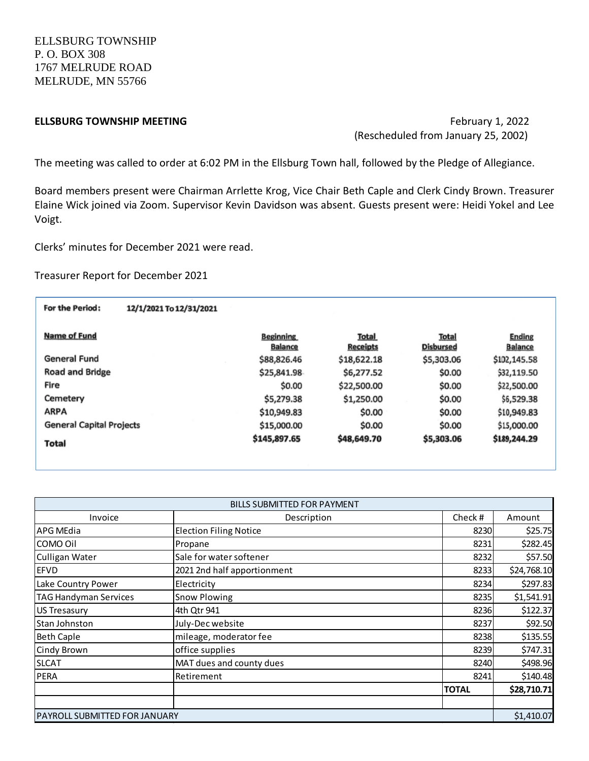**ELLSBURG TOWNSHIP MEETING ELLSBURG TOWNSHIP MEETING** (Rescheduled from January 25, 2002)

The meeting was called to order at 6:02 PM in the Ellsburg Town hall, followed by the Pledge of Allegiance.

Board members present were Chairman Arrlette Krog, Vice Chair Beth Caple and Clerk Cindy Brown. Treasurer Elaine Wick joined via Zoom. Supervisor Kevin Davidson was absent. Guests present were: Heidi Yokel and Lee Voigt.

Clerks' minutes for December 2021 were read.

Treasurer Report for December 2021

| <b>For the Period:</b><br>12/1/2021 To 12/31/2021 |                                    |                          |                                  |                                 |
|---------------------------------------------------|------------------------------------|--------------------------|----------------------------------|---------------------------------|
| <b>Name of Fund</b>                               | <b>Beginning</b><br><b>Balance</b> | Total<br><b>Receipts</b> | <b>Total</b><br><b>Disbursed</b> | <b>Ending</b><br><b>Balance</b> |
| <b>General Fund</b>                               | \$88,826.46                        | \$18,622.18              | \$5,303.06                       | \$102,145.58                    |
| Road and Bridge                                   | \$25,841.98                        | \$6,277.52               | \$0.00                           | \$32,119.50                     |
| Fire                                              | \$0.00                             | \$22,500.00              | \$0.00                           | \$22,500.00                     |
| Cemetery                                          | \$5,279.38                         | \$1,250.00               | \$0.00                           | \$6,529.38                      |
| <b>ARPA</b>                                       | \$10,949.83                        | \$0.00                   | \$0.00                           | \$10,949.83                     |
| <b>General Capital Projects</b>                   | \$15,000.00                        | \$0.00                   | \$0.00                           | \$15,000.00                     |
| Total                                             | \$145,897.65                       | \$48,649.70              | \$5,303.06                       | \$189,244.29                    |

| <b>BILLS SUBMITTED FOR PAYMENT</b> |                               |              |             |  |
|------------------------------------|-------------------------------|--------------|-------------|--|
| Invoice                            | Description                   | Check #      | Amount      |  |
| <b>APG MEdia</b>                   | <b>Election Filing Notice</b> | 8230         | \$25.75     |  |
| COMO Oil                           | Propane                       | 8231         | \$282.45    |  |
| Culligan Water                     | Sale for water softener       | 8232         | \$57.50     |  |
| <b>EFVD</b>                        | 2021 2nd half apportionment   | 8233         | \$24,768.10 |  |
| Lake Country Power                 | Electricity                   | 8234         | \$297.83    |  |
| <b>TAG Handyman Services</b>       | <b>Snow Plowing</b>           | 8235         | \$1,541.91  |  |
| <b>US Tresasury</b>                | 4th Qtr 941                   | 8236         | \$122.37    |  |
| Stan Johnston                      | July-Dec website              | 8237         | \$92.50     |  |
| <b>Beth Caple</b>                  | mileage, moderator fee        | 8238         | \$135.55    |  |
| Cindy Brown                        | office supplies               | 8239         | \$747.31    |  |
| <b>SLCAT</b>                       | MAT dues and county dues      | 8240         | \$498.96    |  |
| PERA                               | Retirement                    | 8241         | \$140.48    |  |
|                                    |                               | <b>TOTAL</b> | \$28,710.71 |  |
|                                    |                               |              |             |  |
| PAYROLL SUBMITTED FOR JANUARY      |                               |              | \$1,410.07  |  |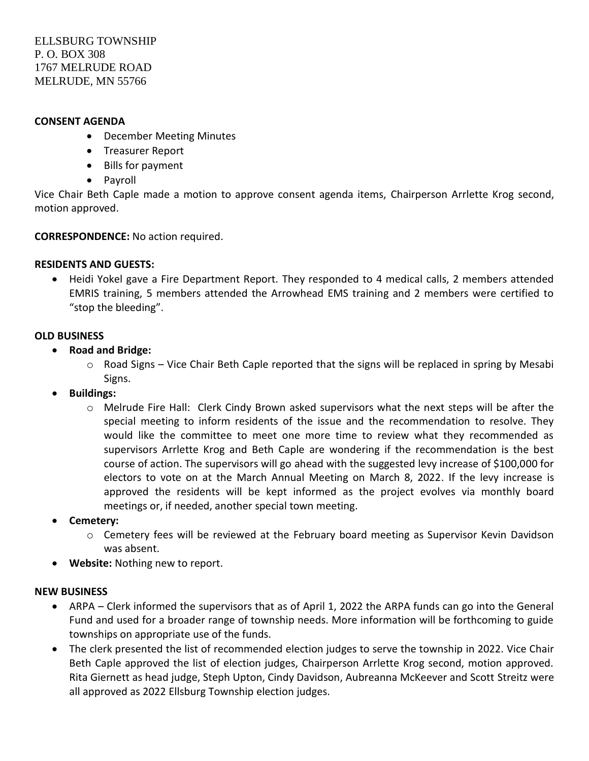# **CONSENT AGENDA**

- December Meeting Minutes
- Treasurer Report
- Bills for payment
- Payroll

Vice Chair Beth Caple made a motion to approve consent agenda items, Chairperson Arrlette Krog second, motion approved.

**CORRESPONDENCE:** No action required.

# **RESIDENTS AND GUESTS:**

 Heidi Yokel gave a Fire Department Report. They responded to 4 medical calls, 2 members attended EMRIS training, 5 members attended the Arrowhead EMS training and 2 members were certified to "stop the bleeding".

# **OLD BUSINESS**

- **Road and Bridge:** 
	- o Road Signs Vice Chair Beth Caple reported that the signs will be replaced in spring by Mesabi Signs.
- **Buildings:**
	- o Melrude Fire Hall: Clerk Cindy Brown asked supervisors what the next steps will be after the special meeting to inform residents of the issue and the recommendation to resolve. They would like the committee to meet one more time to review what they recommended as supervisors Arrlette Krog and Beth Caple are wondering if the recommendation is the best course of action. The supervisors will go ahead with the suggested levy increase of \$100,000 for electors to vote on at the March Annual Meeting on March 8, 2022. If the levy increase is approved the residents will be kept informed as the project evolves via monthly board meetings or, if needed, another special town meeting.
- **Cemetery:** 
	- $\circ$  Cemetery fees will be reviewed at the February board meeting as Supervisor Kevin Davidson was absent.
- **Website:** Nothing new to report.

### **NEW BUSINESS**

- ARPA Clerk informed the supervisors that as of April 1, 2022 the ARPA funds can go into the General Fund and used for a broader range of township needs. More information will be forthcoming to guide townships on appropriate use of the funds.
- The clerk presented the list of recommended election judges to serve the township in 2022. Vice Chair Beth Caple approved the list of election judges, Chairperson Arrlette Krog second, motion approved. Rita Giernett as head judge, Steph Upton, Cindy Davidson, Aubreanna McKeever and Scott Streitz were all approved as 2022 Ellsburg Township election judges.